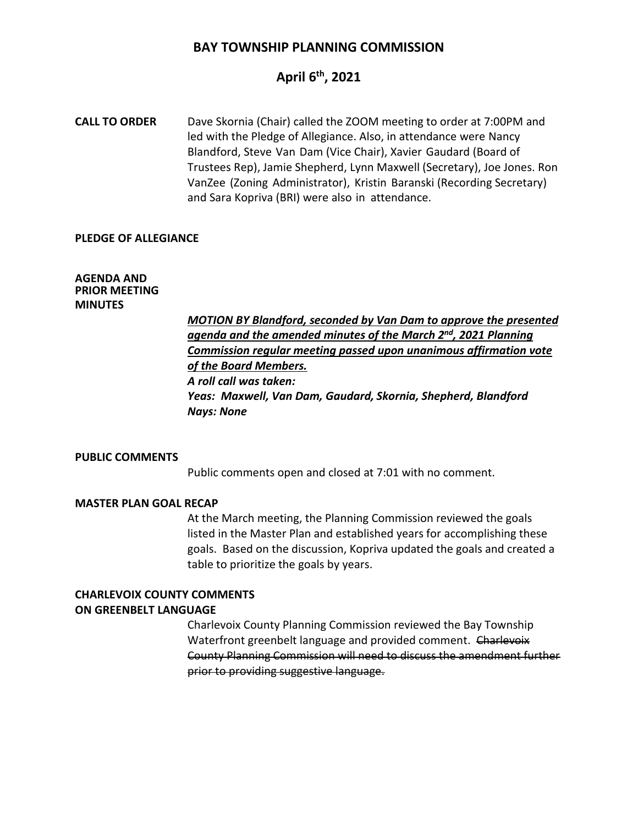### **BAY TOWNSHIP PLANNING COMMISSION**

# **April 6th, 2021**

**CALL TO ORDER** Dave Skornia (Chair) called the ZOOM meeting to order at 7:00PM and led with the Pledge of Allegiance. Also, in attendance were Nancy Blandford, Steve Van Dam (Vice Chair), Xavier Gaudard (Board of Trustees Rep), Jamie Shepherd, Lynn Maxwell (Secretary), Joe Jones. Ron VanZee (Zoning Administrator), Kristin Baranski (Recording Secretary) and Sara Kopriva (BRI) were also in attendance.

#### **PLEDGE OF ALLEGIANCE**

#### **AGENDA AND PRIOR MEETING MINUTES**

*MOTION BY Blandford, seconded by Van Dam to approve the presented agenda and the amended minutes of the March 2nd, 2021 Planning Commission regular meeting passed upon unanimous affirmation vote of the Board Members. A roll call was taken: Yeas: Maxwell, Van Dam, Gaudard, Skornia, Shepherd, Blandford Nays: None*

#### **PUBLIC COMMENTS**

Public comments open and closed at 7:01 with no comment.

#### **MASTER PLAN GOAL RECAP**

At the March meeting, the Planning Commission reviewed the goals listed in the Master Plan and established years for accomplishing these goals. Based on the discussion, Kopriva updated the goals and created a table to prioritize the goals by years.

# **CHARLEVOIX COUNTY COMMENTS**

#### **ON GREENBELT LANGUAGE**

Charlevoix County Planning Commission reviewed the Bay Township Waterfront greenbelt language and provided comment. Charlevoix County Planning Commission will need to discuss the amendment further prior to providing suggestive language.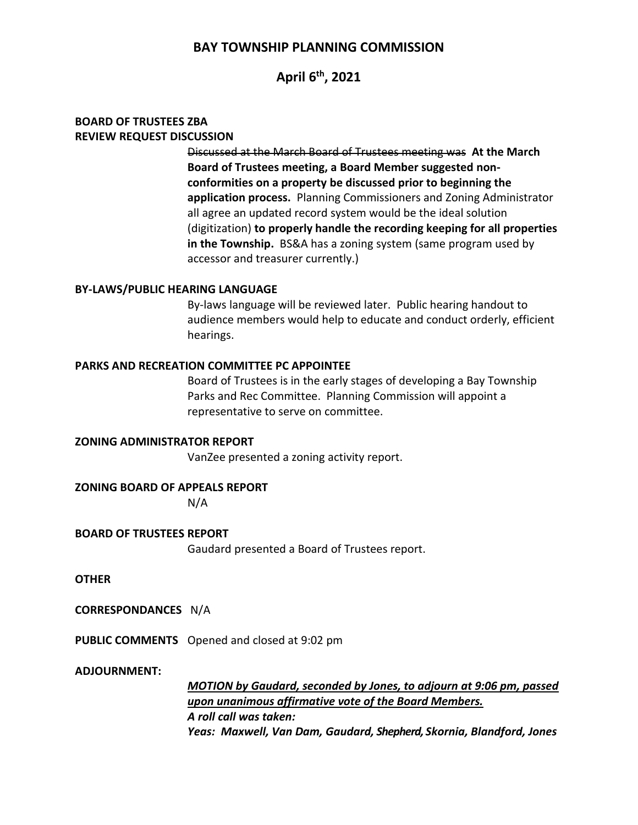### **BAY TOWNSHIP PLANNING COMMISSION**

**April 6th, 2021**

#### **BOARD OF TRUSTEES ZBA REVIEW REQUEST DISCUSSION**

Discussed at the March Board of Trustees meeting was **At the March Board of Trustees meeting, a Board Member suggested nonconformities on a property be discussed prior to beginning the application process.** Planning Commissioners and Zoning Administrator all agree an updated record system would be the ideal solution (digitization) **to properly handle the recording keeping for all properties in the Township.** BS&A has a zoning system (same program used by accessor and treasurer currently.)

#### **BY-LAWS/PUBLIC HEARING LANGUAGE**

By-laws language will be reviewed later. Public hearing handout to audience members would help to educate and conduct orderly, efficient hearings.

#### **PARKS AND RECREATION COMMITTEE PC APPOINTEE**

Board of Trustees is in the early stages of developing a Bay Township Parks and Rec Committee. Planning Commission will appoint a representative to serve on committee.

**ZONING ADMINISTRATOR REPORT** VanZee presented a zoning activity report.

**ZONING BOARD OF APPEALS REPORT**

N/A

**BOARD OF TRUSTEES REPORT**

Gaudard presented a Board of Trustees report.

**OTHER**

**CORRESPONDANCES** N/A

**PUBLIC COMMENTS** Opened and closed at 9:02 pm

**ADJOURNMENT:**

*MOTION by Gaudard, seconded by Jones, to adjourn at 9:06 pm, passed upon unanimous affirmative vote of the Board Members. A roll call was taken: Yeas: Maxwell, Van Dam, Gaudard, Shepherd, Skornia, Blandford, Jones*